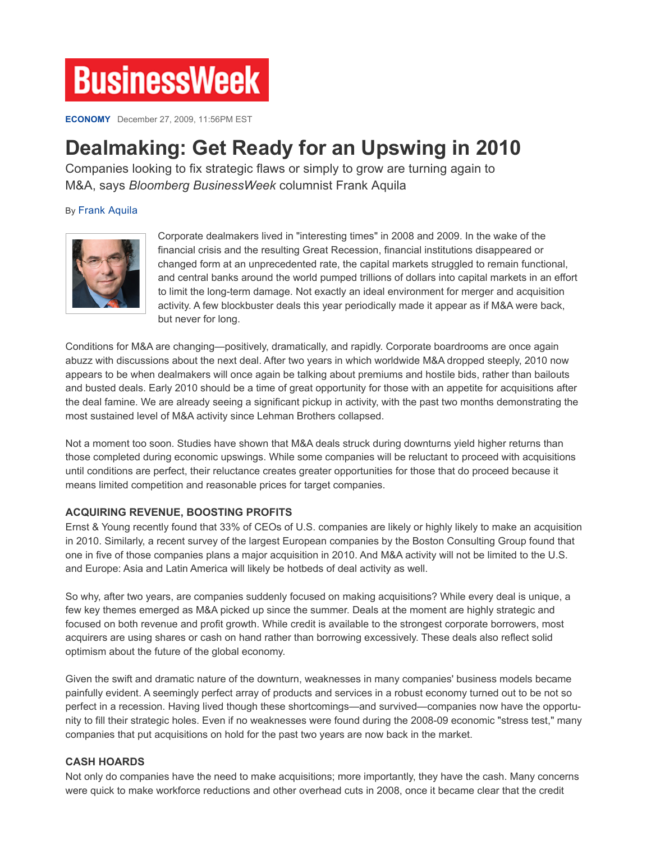# **BusinessWeek**

**ECONOMY** December 27, 2009, 11:56PM EST

## **Dealmaking: Get Ready for an Upswing in 2010**

Companies looking to fix strategic flaws or simply to grow are turning again to M&A, says *Bloomberg BusinessWeek* columnist Frank Aquila

#### By Frank Aquila



Corporate dealmakers lived in "interesting times" in 2008 and 2009. In the wake of the financial crisis and the resulting Great Recession, financial institutions disappeared or changed form at an unprecedented rate, the capital markets struggled to remain functional, and central banks around the world pumped trillions of dollars into capital markets in an effort to limit the long-term damage. Not exactly an ideal environment for merger and acquisition activity. A few blockbuster deals this year periodically made it appear as if M&A were back, but never for long.

Conditions for M&A are changing—positively, dramatically, and rapidly. Corporate boardrooms are once again abuzz with discussions about the next deal. After two years in which worldwide M&A dropped steeply, 2010 now appears to be when dealmakers will once again be talking about premiums and hostile bids, rather than bailouts and busted deals. Early 2010 should be a time of great opportunity for those with an appetite for acquisitions after the deal famine. We are already seeing a significant pickup in activity, with the past two months demonstrating the most sustained level of M&A activity since Lehman Brothers collapsed.

Not a moment too soon. Studies have shown that M&A deals struck during downturns yield higher returns than those completed during economic upswings. While some companies will be reluctant to proceed with acquisitions until conditions are perfect, their reluctance creates greater opportunities for those that do proceed because it means limited competition and reasonable prices for target companies.

### **ACQUIRING REVENUE, BOOSTING PROFITS**

Ernst & Young recently found that 33% of CEOs of U.S. companies are likely or highly likely to make an acquisition in 2010. Similarly, a recent survey of the largest European companies by the Boston Consulting Group found that one in five of those companies plans a major acquisition in 2010. And M&A activity will not be limited to the U.S. and Europe: Asia and Latin America will likely be hotbeds of deal activity as well.

So why, after two years, are companies suddenly focused on making acquisitions? While every deal is unique, a few key themes emerged as M&A picked up since the summer. Deals at the moment are highly strategic and focused on both revenue and profit growth. While credit is available to the strongest corporate borrowers, most acquirers are using shares or cash on hand rather than borrowing excessively. These deals also reflect solid optimism about the future of the global economy.

Given the swift and dramatic nature of the downturn, weaknesses in many companies' business models became painfully evident. A seemingly perfect array of products and services in a robust economy turned out to be not so perfect in a recession. Having lived though these shortcomings—and survived—companies now have the opportunity to fill their strategic holes. Even if no weaknesses were found during the 2008-09 economic "stress test," many companies that put acquisitions on hold for the past two years are now back in the market.

### **CASH HOARDS**

Not only do companies have the need to make acquisitions; more importantly, they have the cash. Many concerns were quick to make workforce reductions and other overhead cuts in 2008, once it became clear that the credit